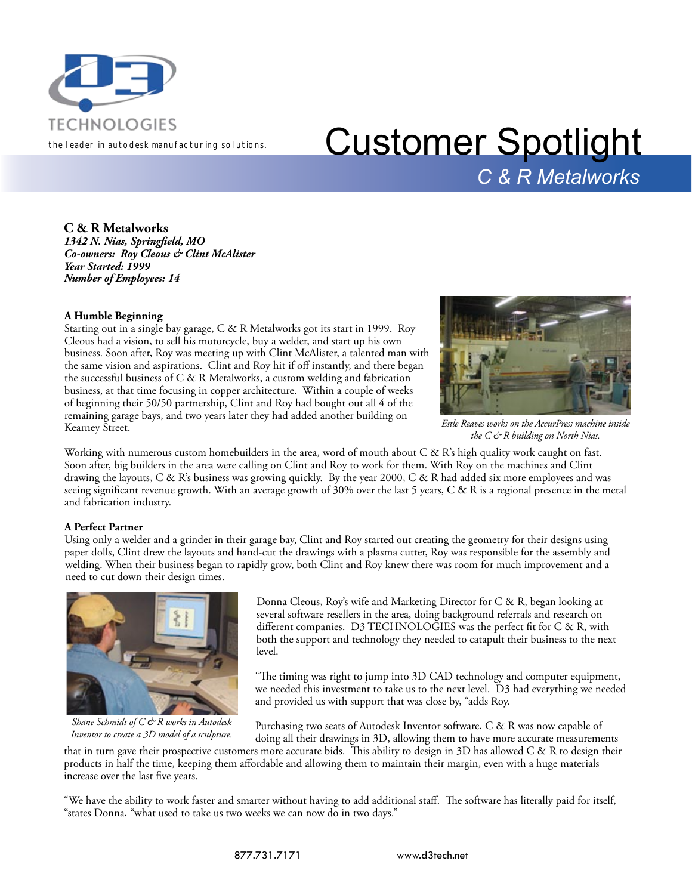

## TECHNOLOGIES<br>the leader in autodesk manufacturing solutions. Customer Spotlight *C & R Metalworks*

**C & R Metalworks**

*1342 N. Nias, Springfield, MO Co-owners: Roy Cleous & Clint McAlister Year Started: 1999 Number of Employees: 14*

### **A Humble Beginning**

Starting out in a single bay garage, C & R Metalworks got its start in 1999. Roy Cleous had a vision, to sell his motorcycle, buy a welder, and start up his own business. Soon after, Roy was meeting up with Clint McAlister, a talented man with the same vision and aspirations. Clint and Roy hit if off instantly, and there began the successful business of C & R Metalworks, a custom welding and fabrication business, at that time focusing in copper architecture. Within a couple of weeks of beginning their 50/50 partnership, Clint and Roy had bought out all 4 of the remaining garage bays, and two years later they had added another building on Kearney Street.



*Estle Reaves works on the AccurPress machine inside the C & R building on North Nias.*

Working with numerous custom homebuilders in the area, word of mouth about C & R's high quality work caught on fast. Soon after, big builders in the area were calling on Clint and Roy to work for them. With Roy on the machines and Clint drawing the layouts, C & R's business was growing quickly. By the year 2000, C & R had added six more employees and was seeing significant revenue growth. With an average growth of 30% over the last 5 years, C & R is a regional presence in the metal and fabrication industry.

### **A Perfect Partner**

Using only a welder and a grinder in their garage bay, Clint and Roy started out creating the geometry for their designs using paper dolls, Clint drew the layouts and hand-cut the drawings with a plasma cutter, Roy was responsible for the assembly and welding. When their business began to rapidly grow, both Clint and Roy knew there was room for much improvement and a need to cut down their design times.



*Shane Schmidt of C & R works in Autodesk Inventor to create a 3D model of a sculpture.*

Donna Cleous, Roy's wife and Marketing Director for C & R, began looking at several software resellers in the area, doing background referrals and research on different companies. D3 TECHNOLOGIES was the perfect fit for C & R, with both the support and technology they needed to catapult their business to the next level.

"The timing was right to jump into 3D CAD technology and computer equipment, we needed this investment to take us to the next level. D3 had everything we needed and provided us with support that was close by, "adds Roy.

Purchasing two seats of Autodesk Inventor software, C & R was now capable of doing all their drawings in 3D, allowing them to have more accurate measurements

that in turn gave their prospective customers more accurate bids. This ability to design in 3D has allowed C & R to design their products in half the time, keeping them affordable and allowing them to maintain their margin, even with a huge materials increase over the last five years.

"We have the ability to work faster and smarter without having to add additional staff. The software has literally paid for itself, "states Donna, "what used to take us two weeks we can now do in two days."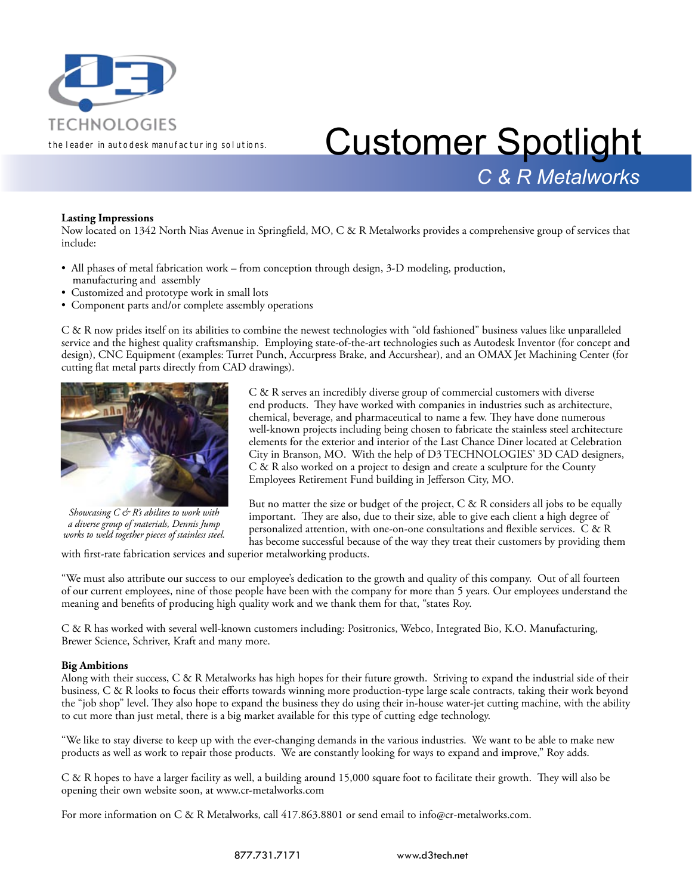

## TECHNOLOGIES<br>the leader in autodesk manufacturing solutions. Customer Spotlight *C & R Metalworks*

#### **Lasting Impressions**

Now located on 1342 North Nias Avenue in Springfield, MO, C & R Metalworks provides a comprehensive group of services that include:

- All phases of metal fabrication work from conception through design, 3-D modeling, production, manufacturing and assembly
- Customized and prototype work in small lots
- Component parts and/or complete assembly operations

C & R now prides itself on its abilities to combine the newest technologies with "old fashioned" business values like unparalleled service and the highest quality craftsmanship. Employing state-of-the-art technologies such as Autodesk Inventor (for concept and design), CNC Equipment (examples: Turret Punch, Accurpress Brake, and Accurshear), and an OMAX Jet Machining Center (for cutting flat metal parts directly from CAD drawings).



*Showcasing C & R's abilites to work with a diverse group of materials, Dennis Jump works to weld together pieces of stainless steel.*

C & R serves an incredibly diverse group of commercial customers with diverse end products. They have worked with companies in industries such as architecture, chemical, beverage, and pharmaceutical to name a few. They have done numerous well-known projects including being chosen to fabricate the stainless steel architecture elements for the exterior and interior of the Last Chance Diner located at Celebration City in Branson, MO. With the help of D3 TECHNOLOGIES' 3D CAD designers, C & R also worked on a project to design and create a sculpture for the County Employees Retirement Fund building in Jefferson City, MO.

But no matter the size or budget of the project,  $C & R$  considers all jobs to be equally important. They are also, due to their size, able to give each client a high degree of personalized attention, with one-on-one consultations and flexible services. C & R has become successful because of the way they treat their customers by providing them

with first-rate fabrication services and superior metalworking products.

"We must also attribute our success to our employee's dedication to the growth and quality of this company. Out of all fourteen of our current employees, nine of those people have been with the company for more than 5 years. Our employees understand the meaning and benefits of producing high quality work and we thank them for that, "states Roy.

C & R has worked with several well-known customers including: Positronics, Webco, Integrated Bio, K.O. Manufacturing, Brewer Science, Schriver, Kraft and many more.

#### **Big Ambitions**

Along with their success, C & R Metalworks has high hopes for their future growth. Striving to expand the industrial side of their business, C & R looks to focus their efforts towards winning more production-type large scale contracts, taking their work beyond the "job shop" level. They also hope to expand the business they do using their in-house water-jet cutting machine, with the ability to cut more than just metal, there is a big market available for this type of cutting edge technology.

"We like to stay diverse to keep up with the ever-changing demands in the various industries. We want to be able to make new products as well as work to repair those products. We are constantly looking for ways to expand and improve," Roy adds.

C & R hopes to have a larger facility as well, a building around 15,000 square foot to facilitate their growth. They will also be opening their own website soon, at www.cr-metalworks.com

For more information on C & R Metalworks, call 417.863.8801 or send email to info@cr-metalworks.com.